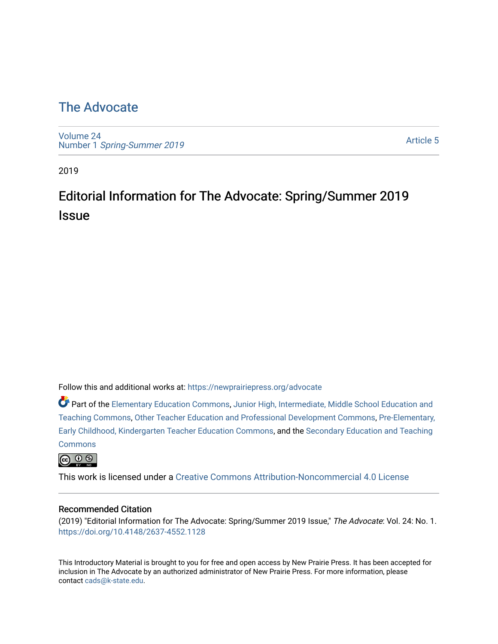## [The Advocate](https://newprairiepress.org/advocate)

[Volume 24](https://newprairiepress.org/advocate/vol24) Number 1 [Spring-Summer 2019](https://newprairiepress.org/advocate/vol24/iss1)

[Article 5](https://newprairiepress.org/advocate/vol24/iss1/5) 

2019

# Editorial Information for The Advocate: Spring/Summer 2019 **Issue**

Follow this and additional works at: [https://newprairiepress.org/advocate](https://newprairiepress.org/advocate?utm_source=newprairiepress.org%2Fadvocate%2Fvol24%2Fiss1%2F5&utm_medium=PDF&utm_campaign=PDFCoverPages) 

Part of the [Elementary Education Commons,](http://network.bepress.com/hgg/discipline/1378?utm_source=newprairiepress.org%2Fadvocate%2Fvol24%2Fiss1%2F5&utm_medium=PDF&utm_campaign=PDFCoverPages) [Junior High, Intermediate, Middle School Education and](http://network.bepress.com/hgg/discipline/807?utm_source=newprairiepress.org%2Fadvocate%2Fvol24%2Fiss1%2F5&utm_medium=PDF&utm_campaign=PDFCoverPages) [Teaching Commons](http://network.bepress.com/hgg/discipline/807?utm_source=newprairiepress.org%2Fadvocate%2Fvol24%2Fiss1%2F5&utm_medium=PDF&utm_campaign=PDFCoverPages), [Other Teacher Education and Professional Development Commons,](http://network.bepress.com/hgg/discipline/810?utm_source=newprairiepress.org%2Fadvocate%2Fvol24%2Fiss1%2F5&utm_medium=PDF&utm_campaign=PDFCoverPages) [Pre-Elementary,](http://network.bepress.com/hgg/discipline/808?utm_source=newprairiepress.org%2Fadvocate%2Fvol24%2Fiss1%2F5&utm_medium=PDF&utm_campaign=PDFCoverPages) [Early Childhood, Kindergarten Teacher Education Commons](http://network.bepress.com/hgg/discipline/808?utm_source=newprairiepress.org%2Fadvocate%2Fvol24%2Fiss1%2F5&utm_medium=PDF&utm_campaign=PDFCoverPages), and the [Secondary Education and Teaching](http://network.bepress.com/hgg/discipline/809?utm_source=newprairiepress.org%2Fadvocate%2Fvol24%2Fiss1%2F5&utm_medium=PDF&utm_campaign=PDFCoverPages) **[Commons](http://network.bepress.com/hgg/discipline/809?utm_source=newprairiepress.org%2Fadvocate%2Fvol24%2Fiss1%2F5&utm_medium=PDF&utm_campaign=PDFCoverPages)** 



This work is licensed under a [Creative Commons Attribution-Noncommercial 4.0 License](https://creativecommons.org/licenses/by-nc/4.0/)

#### Recommended Citation

(2019) "Editorial Information for The Advocate: Spring/Summer 2019 Issue," The Advocate: Vol. 24: No. 1. <https://doi.org/10.4148/2637-4552.1128>

This Introductory Material is brought to you for free and open access by New Prairie Press. It has been accepted for inclusion in The Advocate by an authorized administrator of New Prairie Press. For more information, please contact [cads@k-state.edu](mailto:cads@k-state.edu).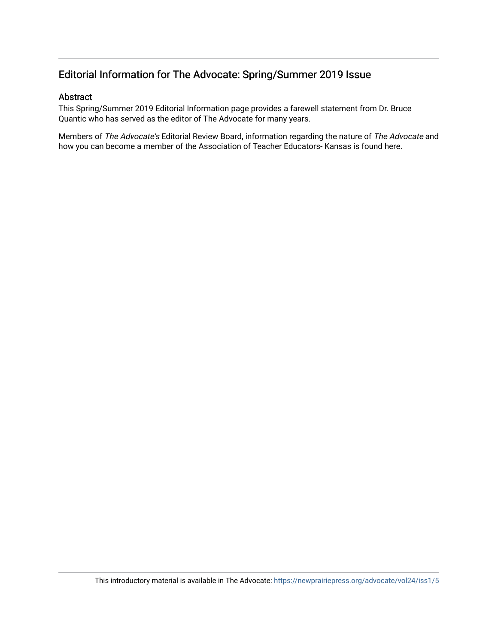### Editorial Information for The Advocate: Spring/Summer 2019 Issue

### Abstract

This Spring/Summer 2019 Editorial Information page provides a farewell statement from Dr. Bruce Quantic who has served as the editor of The Advocate for many years.

Members of The Advocate's Editorial Review Board, information regarding the nature of The Advocate and how you can become a member of the Association of Teacher Educators- Kansas is found here.